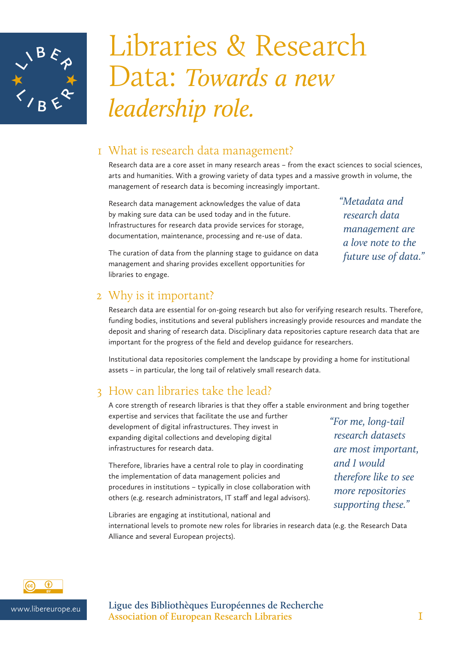

# Libraries & Research Data: *Towards a new leadership role.*

### 1 What is research data management?

Research data are a core asset in many research areas – from the exact sciences to social sciences, arts and humanities. With a growing variety of data types and a massive growth in volume, the management of research data is becoming increasingly important.

Research data management acknowledges the value of data by making sure data can be used today and in the future. Infrastructures for research data provide services for storage, documentation, maintenance, processing and re-use of data.

*"Metadata and research data management are a love note to the future use of data."*

The curation of data from the planning stage to guidance on data management and sharing provides excellent opportunities for libraries to engage.

#### 2 Why is it important?

Research data are essential for on-going research but also for verifying research results. Therefore, funding bodies, institutions and several publishers increasingly provide resources and mandate the deposit and sharing of research data. Disciplinary data repositories capture research data that are important for the progress of the field and develop guidance for researchers.

Institutional data repositories complement the landscape by providing a home for institutional assets – in particular, the long tail of relatively small research data.

## 3 How can libraries take the lead?

A core strength of research libraries is that they offer a stable environment and bring together

expertise and services that facilitate the use and further development of digital infrastructures. They invest in expanding digital collections and developing digital infrastructures for research data.

Therefore, libraries have a central role to play in coordinating the implementation of data management policies and procedures in institutions – typically in close collaboration with others (e.g. research administrators, IT staff and legal advisors).

*"For me, long-tail research datasets are most important, and I would therefore like to see more repositories supporting these."* 

Libraries are engaging at institutional, national and

international levels to promote new roles for libraries in research data (e.g. the Research Data Alliance and several European projects).



www.libereurope.eu **Ligue des Bibliothèques Européennes de Recherche Association of European Research Libraries** 1